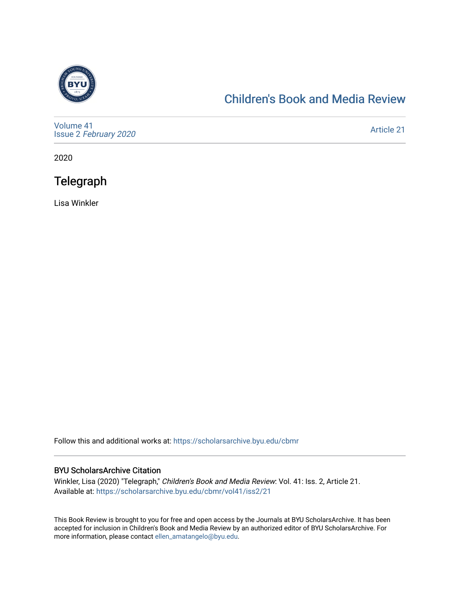

#### [Children's Book and Media Review](https://scholarsarchive.byu.edu/cbmr)

[Volume 41](https://scholarsarchive.byu.edu/cbmr/vol41) Issue 2 [February 2020](https://scholarsarchive.byu.edu/cbmr/vol41/iss2)

[Article 21](https://scholarsarchive.byu.edu/cbmr/vol41/iss2/21) 

2020

### **Telegraph**

Lisa Winkler

Follow this and additional works at: [https://scholarsarchive.byu.edu/cbmr](https://scholarsarchive.byu.edu/cbmr?utm_source=scholarsarchive.byu.edu%2Fcbmr%2Fvol41%2Fiss2%2F21&utm_medium=PDF&utm_campaign=PDFCoverPages) 

#### BYU ScholarsArchive Citation

Winkler, Lisa (2020) "Telegraph," Children's Book and Media Review: Vol. 41: Iss. 2, Article 21. Available at: [https://scholarsarchive.byu.edu/cbmr/vol41/iss2/21](https://scholarsarchive.byu.edu/cbmr/vol41/iss2/21?utm_source=scholarsarchive.byu.edu%2Fcbmr%2Fvol41%2Fiss2%2F21&utm_medium=PDF&utm_campaign=PDFCoverPages)

This Book Review is brought to you for free and open access by the Journals at BYU ScholarsArchive. It has been accepted for inclusion in Children's Book and Media Review by an authorized editor of BYU ScholarsArchive. For more information, please contact [ellen\\_amatangelo@byu.edu.](mailto:ellen_amatangelo@byu.edu)